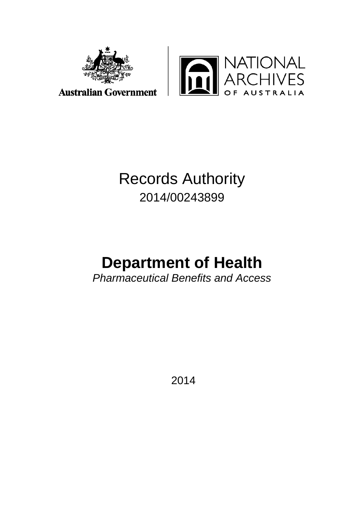



## Records Authority 2014/00243899

# **Department of Health**

*Pharmaceutical Benefits and Access*

2014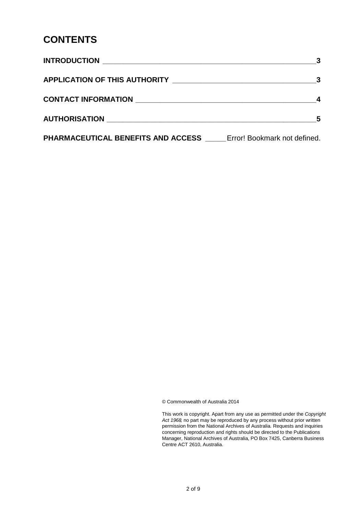#### **CONTENTS**

| <b>PHARMACEUTICAL BENEFITS AND ACCESS</b> Error! Bookmark not defined. |  |
|------------------------------------------------------------------------|--|

© Commonwealth of Australia 2014

This work is copyright. Apart from any use as permitted under the *Copyright Act 1968,* no part may be reproduced by any process without prior written permission from the National Archives of Australia. Requests and inquiries concerning reproduction and rights should be directed to the Publications Manager, National Archives of Australia, PO Box 7425, Canberra Business Centre ACT 2610, Australia.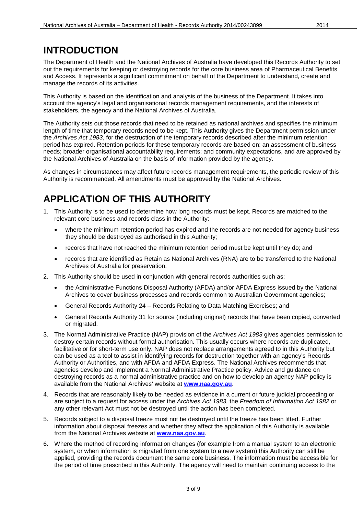### **INTRODUCTION**

The Department of Health and the National Archives of Australia have developed this Records Authority to set out the requirements for keeping or destroying records for the core business area of Pharmaceutical Benefits and Access. It represents a significant commitment on behalf of the Department to understand, create and manage the records of its activities.

This Authority is based on the identification and analysis of the business of the Department. It takes into account the agency's legal and organisational records management requirements, and the interests of stakeholders, the agency and the National Archives of Australia.

The Authority sets out those records that need to be retained as national archives and specifies the minimum length of time that temporary records need to be kept. This Authority gives the Department permission under the *Archives Act 1983*, for the destruction of the temporary records described after the minimum retention period has expired. Retention periods for these temporary records are based on: an assessment of business needs; broader organisational accountability requirements; and community expectations, and are approved by the National Archives of Australia on the basis of information provided by the agency.

As changes in circumstances may affect future records management requirements, the periodic review of this Authority is recommended. All amendments must be approved by the National Archives.

#### **APPLICATION OF THIS AUTHORITY**

- 1. This Authority is to be used to determine how long records must be kept. Records are matched to the relevant core business and records class in the Authority:
	- where the minimum retention period has expired and the records are not needed for agency business they should be destroyed as authorised in this Authority;
	- records that have not reached the minimum retention period must be kept until they do; and
	- records that are identified as Retain as National Archives (RNA) are to be transferred to the National Archives of Australia for preservation.
- 2. This Authority should be used in conjunction with general records authorities such as:
	- the Administrative Functions Disposal Authority (AFDA) and/or AFDA Express issued by the National Archives to cover business processes and records common to Australian Government agencies;
	- General Records Authority 24 Records Relating to Data Matching Exercises; and
	- General Records Authority 31 for source (including original) records that have been copied, converted or migrated.
- 3. The Normal Administrative Practice (NAP) provision of the *Archives Act 1983* gives agencies permission to destroy certain records without formal authorisation. This usually occurs where records are duplicated, facilitative or for short-term use only. NAP does not replace arrangements agreed to in this Authority but can be used as a tool to assist in identifying records for destruction together with an agency's Records Authority or Authorities, and with AFDA and AFDA Express. The National Archives recommends that agencies develop and implement a Normal Administrative Practice policy. Advice and guidance on destroying records as a normal administrative practice and on how to develop an agency NAP policy is available from the National Archives' website at **[www.naa.gov.au](http://www.naa.gov.au/)**.
- 4. Records that are reasonably likely to be needed as evidence in a current or future judicial proceeding or are subject to a request for access under the *Archives Act 1983,* the *Freedom of Information Act 1982* or any other relevant Act must not be destroyed until the action has been completed.
- 5. Records subject to a disposal freeze must not be destroyed until the freeze has been lifted. Further information about disposal freezes and whether they affect the application of this Authority is available from the National Archives website at **[www.naa.gov.au](http://www.naa.gov.au/)**.
- 6. Where the method of recording information changes (for example from a manual system to an electronic system, or when information is migrated from one system to a new system) this Authority can still be applied, providing the records document the same core business. The information must be accessible for the period of time prescribed in this Authority. The agency will need to maintain continuing access to the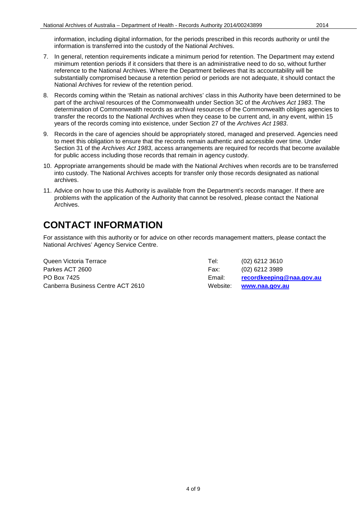information, including digital information, for the periods prescribed in this records authority or until the information is transferred into the custody of the National Archives.

- 7. In general, retention requirements indicate a minimum period for retention. The Department may extend minimum retention periods if it considers that there is an administrative need to do so, without further reference to the National Archives. Where the Department believes that its accountability will be substantially compromised because a retention period or periods are not adequate, it should contact the National Archives for review of the retention period.
- 8. Records coming within the 'Retain as national archives' class in this Authority have been determined to be part of the archival resources of the Commonwealth under Section 3C of the *Archives Act 1983*. The determination of Commonwealth records as archival resources of the Commonwealth obliges agencies to transfer the records to the National Archives when they cease to be current and, in any event, within 15 years of the records coming into existence, under Section 27 of the *Archives Act 1983*.
- 9. Records in the care of agencies should be appropriately stored, managed and preserved. Agencies need to meet this obligation to ensure that the records remain authentic and accessible over time. Under Section 31 of the *Archives Act 1983*, access arrangements are required for records that become available for public access including those records that remain in agency custody.
- 10. Appropriate arrangements should be made with the National Archives when records are to be transferred into custody. The National Archives accepts for transfer only those records designated as national archives.
- 11. Advice on how to use this Authority is available from the Department's records manager. If there are problems with the application of the Authority that cannot be resolved, please contact the National Archives.

#### **CONTACT INFORMATION**

For assistance with this authority or for advice on other records management matters, please contact the National Archives' Agency Service Centre.

Queen Victoria Terrace Tel: (02) 6212 3610 Parkes ACT 2600 Farkes ACT 2600 Fax: (02) 6212 3989 Canberra Business Centre ACT 2610 Website: **[www.naa.gov.au](http://www.naa.gov.au/)**

PO Box 7425 Email: **[recordkeeping@naa.gov.au](mailto:recordkeeping@naa.gov.au)**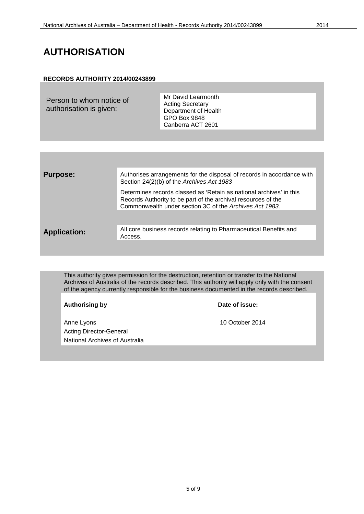#### **AUTHORISATION**

#### **RECORDS AUTHORITY 2014/00243899**

Person to whom notice of authorisation is given:

Mr David Learmonth Acting Secretary Department of Health GPO Box 9848 Canberra ACT 2601

| <b>Purpose:</b>     | Authorises arrangements for the disposal of records in accordance with<br>Section 24(2)(b) of the Archives Act 1983                                                                             |
|---------------------|-------------------------------------------------------------------------------------------------------------------------------------------------------------------------------------------------|
|                     | Determines records classed as 'Retain as national archives' in this<br>Records Authority to be part of the archival resources of the<br>Commonwealth under section 3C of the Archives Act 1983. |
|                     |                                                                                                                                                                                                 |
| <b>Application:</b> | All core business records relating to Pharmaceutical Benefits and<br>Access.                                                                                                                    |
|                     |                                                                                                                                                                                                 |

This authority gives permission for the destruction, retention or transfer to the National Archives of Australia of the records described. This authority will apply only with the consent of the agency currently responsible for the business documented in the records described.

|                                                                                                   | <b>Authorising by</b> | Date of issue: |
|---------------------------------------------------------------------------------------------------|-----------------------|----------------|
| 10 October 2014<br>Anne Lyons<br><b>Acting Director-General</b><br>National Archives of Australia |                       |                |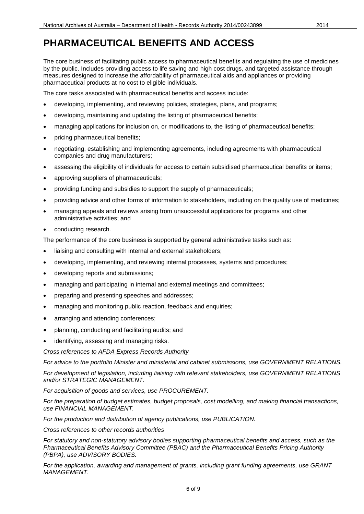The core business of facilitating public access to pharmaceutical benefits and regulating the use of medicines by the public. Includes providing access to life saving and high cost drugs, and targeted assistance through measures designed to increase the affordability of pharmaceutical aids and appliances or providing pharmaceutical products at no cost to eligible individuals.

The core tasks associated with pharmaceutical benefits and access include:

- developing, implementing, and reviewing policies, strategies, plans, and programs;
- developing, maintaining and updating the listing of pharmaceutical benefits;
- managing applications for inclusion on, or modifications to, the listing of pharmaceutical benefits;
- pricing pharmaceutical benefits;
- negotiating, establishing and implementing agreements, including agreements with pharmaceutical companies and drug manufacturers;
- assessing the eligibility of individuals for access to certain subsidised pharmaceutical benefits or items;
- approving suppliers of pharmaceuticals;
- providing funding and subsidies to support the supply of pharmaceuticals;
- providing advice and other forms of information to stakeholders, including on the quality use of medicines;
- managing appeals and reviews arising from unsuccessful applications for programs and other administrative activities; and
- conducting research.

The performance of the core business is supported by general administrative tasks such as:

- liaising and consulting with internal and external stakeholders;
- developing, implementing, and reviewing internal processes, systems and procedures;
- developing reports and submissions;
- managing and participating in internal and external meetings and committees;
- preparing and presenting speeches and addresses;
- managing and monitoring public reaction, feedback and enquiries;
- arranging and attending conferences;
- planning, conducting and facilitating audits; and
- identifying, assessing and managing risks.

*Cross references to AFDA Express Records Authority*

*For advice to the portfolio Minister and ministerial and cabinet submissions, use GOVERNMENT RELATIONS.*

*For development of legislation, including liaising with relevant stakeholders, use GOVERNMENT RELATIONS and/or STRATEGIC MANAGEMENT.*

*For acquisition of goods and services, use PROCUREMENT.*

*For the preparation of budget estimates, budget proposals, cost modelling, and making financial transactions, use FINANCIAL MANAGEMENT.*

*For the production and distribution of agency publications, use PUBLICATION.*

*Cross references to other records authorities*

*For statutory and non-statutory advisory bodies supporting pharmaceutical benefits and access, such as the Pharmaceutical Benefits Advisory Committee (PBAC) and the Pharmaceutical Benefits Pricing Authority (PBPA), use ADVISORY BODIES.*

*For the application, awarding and management of grants, including grant funding agreements, use GRANT MANAGEMENT.*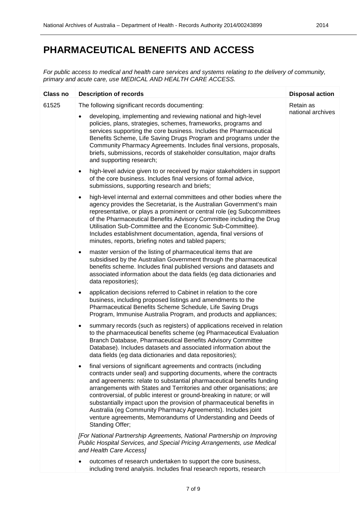*For public access to medical and health care services and systems relating to the delivery of community, primary and acute care, use MEDICAL AND HEALTH CARE ACCESS.*

| Class no | <b>Description of records</b>                                                                                                                                                                                                                                                                                                                                                                                                                                                                                                                                                                             | <b>Disposal action</b> |
|----------|-----------------------------------------------------------------------------------------------------------------------------------------------------------------------------------------------------------------------------------------------------------------------------------------------------------------------------------------------------------------------------------------------------------------------------------------------------------------------------------------------------------------------------------------------------------------------------------------------------------|------------------------|
| 61525    | The following significant records documenting:                                                                                                                                                                                                                                                                                                                                                                                                                                                                                                                                                            | Retain as              |
|          | developing, implementing and reviewing national and high-level<br>$\bullet$<br>policies, plans, strategies, schemes, frameworks, programs and<br>services supporting the core business. Includes the Pharmaceutical<br>Benefits Scheme, Life Saving Drugs Program and programs under the<br>Community Pharmacy Agreements. Includes final versions, proposals,<br>briefs, submissions, records of stakeholder consultation, major drafts<br>and supporting research;                                                                                                                                      | national archives      |
|          | high-level advice given to or received by major stakeholders in support<br>$\bullet$<br>of the core business. Includes final versions of formal advice,<br>submissions, supporting research and briefs;                                                                                                                                                                                                                                                                                                                                                                                                   |                        |
|          | high-level internal and external committees and other bodies where the<br>$\bullet$<br>agency provides the Secretariat, is the Australian Government's main<br>representative, or plays a prominent or central role (eg Subcommittees<br>of the Pharmaceutical Benefits Advisory Committee including the Drug<br>Utilisation Sub-Committee and the Economic Sub-Committee).<br>Includes establishment documentation, agenda, final versions of<br>minutes, reports, briefing notes and tabled papers;                                                                                                     |                        |
|          | master version of the listing of pharmaceutical items that are<br>$\bullet$<br>subsidised by the Australian Government through the pharmaceutical<br>benefits scheme. Includes final published versions and datasets and<br>associated information about the data fields (eg data dictionaries and<br>data repositories);                                                                                                                                                                                                                                                                                 |                        |
|          | application decisions referred to Cabinet in relation to the core<br>$\bullet$<br>business, including proposed listings and amendments to the<br>Pharmaceutical Benefits Scheme Schedule, Life Saving Drugs<br>Program, Immunise Australia Program, and products and appliances;                                                                                                                                                                                                                                                                                                                          |                        |
|          | summary records (such as registers) of applications received in relation<br>٠<br>to the pharmaceutical benefits scheme (eg Pharmaceutical Evaluation<br>Branch Database, Pharmaceutical Benefits Advisory Committee<br>Database). Includes datasets and associated information about the<br>data fields (eg data dictionaries and data repositories);                                                                                                                                                                                                                                                     |                        |
|          | final versions of significant agreements and contracts (including<br>contracts under seal) and supporting documents, where the contracts<br>and agreements: relate to substantial pharmaceutical benefits funding<br>arrangements with States and Territories and other organisations; are<br>controversial, of public interest or ground-breaking in nature; or will<br>substantially impact upon the provision of pharmaceutical benefits in<br>Australia (eg Community Pharmacy Agreements). Includes joint<br>venture agreements, Memorandums of Understanding and Deeds of<br><b>Standing Offer:</b> |                        |
|          | [For National Partnership Agreements, National Partnership on Improving<br>Public Hospital Services, and Special Pricing Arrangements, use Medical<br>and Health Care Access]                                                                                                                                                                                                                                                                                                                                                                                                                             |                        |
|          | outcomes of research undertaken to support the core business,<br>including trend analysis. Includes final research reports, research                                                                                                                                                                                                                                                                                                                                                                                                                                                                      |                        |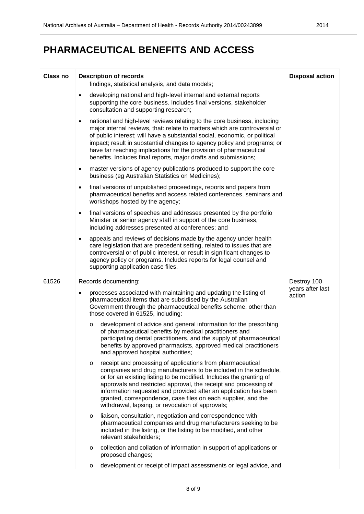| <b>Class no</b> | <b>Description of records</b>                                                                                                                                                                                                                                                                                                                                                                                                                                                 | <b>Disposal action</b>     |
|-----------------|-------------------------------------------------------------------------------------------------------------------------------------------------------------------------------------------------------------------------------------------------------------------------------------------------------------------------------------------------------------------------------------------------------------------------------------------------------------------------------|----------------------------|
|                 | findings, statistical analysis, and data models;                                                                                                                                                                                                                                                                                                                                                                                                                              |                            |
|                 | developing national and high-level internal and external reports<br>$\bullet$<br>supporting the core business. Includes final versions, stakeholder<br>consultation and supporting research;                                                                                                                                                                                                                                                                                  |                            |
|                 | national and high-level reviews relating to the core business, including<br>$\bullet$<br>major internal reviews, that: relate to matters which are controversial or<br>of public interest; will have a substantial social, economic, or political<br>impact; result in substantial changes to agency policy and programs; or<br>have far reaching implications for the provision of pharmaceutical<br>benefits. Includes final reports, major drafts and submissions;         |                            |
|                 | master versions of agency publications produced to support the core<br>$\bullet$<br>business (eg Australian Statistics on Medicines);                                                                                                                                                                                                                                                                                                                                         |                            |
|                 | final versions of unpublished proceedings, reports and papers from<br>$\bullet$<br>pharmaceutical benefits and access related conferences, seminars and<br>workshops hosted by the agency;                                                                                                                                                                                                                                                                                    |                            |
|                 | final versions of speeches and addresses presented by the portfolio<br>$\bullet$<br>Minister or senior agency staff in support of the core business,<br>including addresses presented at conferences; and                                                                                                                                                                                                                                                                     |                            |
|                 | appeals and reviews of decisions made by the agency under health<br>$\bullet$<br>care legislation that are precedent setting, related to issues that are<br>controversial or of public interest, or result in significant changes to<br>agency policy or programs. Includes reports for legal counsel and<br>supporting application case files.                                                                                                                               |                            |
| 61526           | Records documenting:                                                                                                                                                                                                                                                                                                                                                                                                                                                          | Destroy 100                |
|                 | processes associated with maintaining and updating the listing of<br>pharmaceutical items that are subsidised by the Australian<br>Government through the pharmaceutical benefits scheme, other than<br>those covered in 61525, including:                                                                                                                                                                                                                                    | years after last<br>action |
|                 | development of advice and general information for the prescribing<br>$\circ$<br>of pharmaceutical benefits by medical practitioners and<br>participating dental practitioners, and the supply of pharmaceutical<br>benefits by approved pharmacists, approved medical practitioners<br>and approved hospital authorities;                                                                                                                                                     |                            |
|                 | receipt and processing of applications from pharmaceutical<br>$\circ$<br>companies and drug manufacturers to be included in the schedule,<br>or for an existing listing to be modified. Includes the granting of<br>approvals and restricted approval, the receipt and processing of<br>information requested and provided after an application has been<br>granted, correspondence, case files on each supplier, and the<br>withdrawal, lapsing, or revocation of approvals; |                            |
|                 | liaison, consultation, negotiation and correspondence with<br>$\circ$<br>pharmaceutical companies and drug manufacturers seeking to be<br>included in the listing, or the listing to be modified, and other<br>relevant stakeholders;                                                                                                                                                                                                                                         |                            |
|                 | collection and collation of information in support of applications or<br>$\circ$<br>proposed changes;                                                                                                                                                                                                                                                                                                                                                                         |                            |
|                 | development or receipt of impact assessments or legal advice, and<br>$\circ$                                                                                                                                                                                                                                                                                                                                                                                                  |                            |